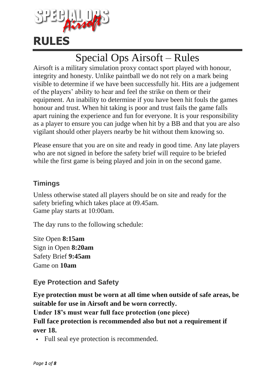

# Special Ops Airsoft – Rules

Airsoft is a military simulation proxy contact sport played with honour, integrity and honesty. Unlike paintball we do not rely on a mark being visible to determine if we have been successfully hit. Hits are a judgement of the players' ability to hear and feel the strike on them or their equipment. An inability to determine if you have been hit fouls the games honour and trust. When hit taking is poor and trust fails the game falls apart ruining the experience and fun for everyone. It is your responsibility as a player to ensure you can judge when hit by a BB and that you are also vigilant should other players nearby be hit without them knowing so.

Please ensure that you are on site and ready in good time. Any late players who are not signed in before the safety brief will require to be briefed while the first game is being played and join in on the second game.

## **Timings**

Unless otherwise stated all players should be on site and ready for the safety briefing which takes place at 09.45am. Game play starts at 10:00am.

The day runs to the following schedule:

Site Open **8:15am** Sign in Open **8:20am** Safety Brief **9:45am** Game on **10am**

## **Eye Protection and Safety**

**Eye protection must be worn at all time when outside of safe areas, be suitable for use in Airsoft and be worn correctly.** 

**Under 18's must wear full face protection (one piece)** 

**Full face protection is recommended also but not a requirement if over 18.**

Full seal eye protection is recommended.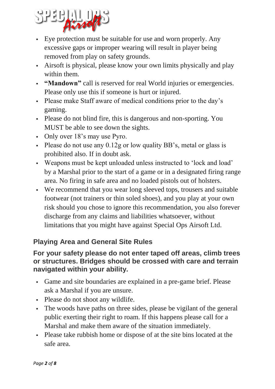

- Eye protection must be suitable for use and worn properly. Any excessive gaps or improper wearing will result in player being removed from play on safety grounds.
- Airsoft is physical, please know your own limits physically and play within them.
- **"Mandown"** call is reserved for real World injuries or emergencies. Please only use this if someone is hurt or injured.
- Please make Staff aware of medical conditions prior to the day's gaming.
- Please do not blind fire, this is dangerous and non-sporting. You MUST be able to see down the sights.
- Only over 18's may use Pyro.
- Please do not use any  $0.12g$  or low quality BB's, metal or glass is prohibited also. If in doubt ask.
- Weapons must be kept unloaded unless instructed to 'lock and load' by a Marshal prior to the start of a game or in a designated firing range area. No firing in safe area and no loaded pistols out of holsters.
- We recommend that you wear long sleeved tops, trousers and suitable footwear (not trainers or thin soled shoes), and you play at your own risk should you chose to ignore this recommendation, you also forever discharge from any claims and liabilities whatsoever, without limitations that you might have against Special Ops Airsoft Ltd.

## **Playing Area and General Site Rules**

#### **For your safety please do not enter taped off areas, climb trees or structures. Bridges should be crossed with care and terrain navigated within your ability.**

- Game and site boundaries are explained in a pre-game brief. Please ask a Marshal if you are unsure.
- Please do not shoot any wildlife.
- The woods have paths on three sides, please be vigilant of the general public exerting their right to roam. If this happens please call for a Marshal and make them aware of the situation immediately.
- Please take rubbish home or dispose of at the site bins located at the safe area.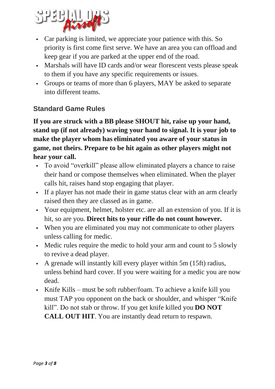

- Car parking is limited, we appreciate your patience with this. So priority is first come first serve. We have an area you can offload and keep gear if you are parked at the upper end of the road.
- Marshals will have ID cards and/or wear florescent vests please speak to them if you have any specific requirements or issues.
- Groups or teams of more than 6 players, MAY be asked to separate into different teams.

## **Standard Game Rules**

**If you are struck with a BB please SHOUT hit, raise up your hand, stand up (if not already) waving your hand to signal. It is your job to make the player whom has eliminated you aware of your status in game, not theirs. Prepare to be hit again as other players might not hear your call.**

- To avoid "overkill" please allow eliminated players a chance to raise their hand or compose themselves when eliminated. When the player calls hit, raises hand stop engaging that player.
- If a player has not made their in game status clear with an arm clearly raised then they are classed as in game.
- Your equipment, helmet, holster etc. are all an extension of you. If it is hit, so are you. **Direct hits to your rifle do not count however.**
- When you are eliminated you may not communicate to other players unless calling for medic.
- Medic rules require the medic to hold your arm and count to 5 slowly to revive a dead player.
- A grenade will instantly kill every player within 5m (15ft) radius, unless behind hard cover. If you were waiting for a medic you are now dead.
- Knife Kills must be soft rubber/foam. To achieve a knife kill you must TAP you opponent on the back or shoulder, and whisper "Knife kill". Do not stab or throw. If you get knife killed you **DO NOT CALL OUT HIT**. You are instantly dead return to respawn.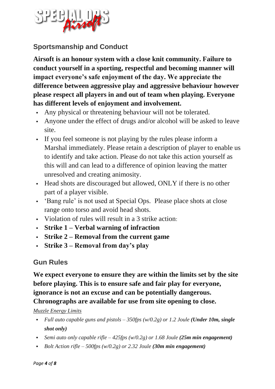

## **Sportsmanship and Conduct**

**Airsoft is an honour system with a close knit community. Failure to conduct yourself in a sporting, respectful and becoming manner will impact everyone's safe enjoyment of the day. We appreciate the difference between aggressive play and aggressive behaviour however please respect all players in and out of team when playing. Everyone has different levels of enjoyment and involvement.**

- Any physical or threatening behaviour will not be tolerated.
- Anyone under the effect of drugs and/or alcohol will be asked to leave site.
- If you feel someone is not playing by the rules please inform a Marshal immediately. Please retain a description of player to enable us to identify and take action. Please do not take this action yourself as this will and can lead to a difference of opinion leaving the matter unresolved and creating animosity.
- Head shots are discouraged but allowed, ONLY if there is no other part of a player visible.
- 'Bang rule' is not used at Special Ops. Please place shots at close range onto torso and avoid head shots.
- Violation of rules will result in a 3 strike action:
- **Strike 1 – Verbal warning of infraction**
- **Strike 2 – Removal from the current game**
- **Strike 3 – Removal from day's play**

## **Gun Rules**

**We expect everyone to ensure they are within the limits set by the site before playing. This is to ensure safe and fair play for everyone, ignorance is not an excuse and can be potentially dangerous. Chronographs are available for use from site opening to close.**

#### *Muzzle Energy Limits*

- *Full auto capable guns and pistols – 350fps (w/0.2g) or 1.2 Joule (Under 10m, single shot only)*
- *Semi auto only capable rifle – 425fps (w/0.2g) or 1.68 Joule (25m min engagement)*
- *Bolt Action rifle – 500fps (w/0.2g) or 2.32 Joule (30m min engagement)*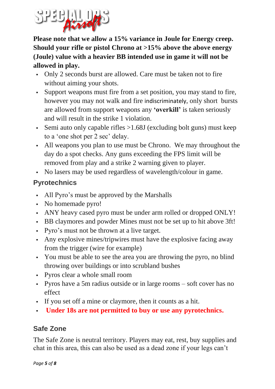

**Please note that we allow a 15% variance in Joule for Energy creep. Should your rifle or pistol Chrono at >15% above the above energy (Joule) value with a heavier BB intended use in game it will not be allowed in play.**

- Only 2 seconds burst are allowed. Care must be taken not to fire without aiming your shots.
- Support weapons must fire from a set position, you may stand to fire, however you may not walk and fire indiscriminately, only short bursts are allowed from support weapons any **'overkill'** is taken seriously and will result in the strike 1 violation.
- Semi auto only capable rifles  $>1.68J$  (excluding bolt guns) must keep to a 'one shot per 2 sec' delay.
- All weapons you plan to use must be Chrono. We may throughout the day do a spot checks. Any guns exceeding the FPS limit will be removed from play and a strike 2 warning given to player.
- No lasers may be used regardless of wavelength/colour in game.

## **Pyrotechnics**

- All Pyro's must be approved by the Marshalls
- No homemade pyro!
- ANY heavy cased pyro must be under arm rolled or dropped ONLY!
- BB claymores and powder Mines must not be set up to hit above 3ft!
- Pyro's must not be thrown at a live target.
- Any explosive mines/tripwires must have the explosive facing away from the trigger (wire for example)
- You must be able to see the area you are throwing the pyro, no blind throwing over buildings or into scrubland bushes
- Pyros clear a whole small room
- Pyros have a 5m radius outside or in large rooms soft cover has no effect
- If you set off a mine or claymore, then it counts as a hit.
- **Under 18s are not permitted to buy or use any pyrotechnics.**

## **Safe Zone**

The Safe Zone is neutral territory. Players may eat, rest, buy supplies and chat in this area, this can also be used as a dead zone if your legs can't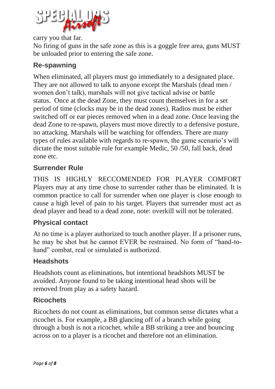

carry you that far.

No firing of guns in the safe zone as this is a goggle free area, guns MUST be unloaded prior to entering the safe zone.

## **Re-spawning**

When eliminated, all players must go immediately to a designated place. They are not allowed to talk to anyone except the Marshals (dead men / women don't talk), marshals will not give tactical advise or battle status. Once at the dead Zone, they must count themselves in for a set period of time (clocks may be in the dead zones). Radios must be either switched off or ear pieces removed when in a dead zone. Once leaving the dead Zone to re-spawn, players must move directly to a defensive posture, no attacking. Marshals will be watching for offenders. There are many types of rules available with regards to re-spawn, the game scenario's will dictate the most suitable rule for example Medic, 50 /50, fall back, dead zone etc.

#### **Surrender Rule**

THIS IS HIGHLY RECCOMENDED FOR PLAYER COMFORT Players may at any time chose to surrender rather than be eliminated. It is common practice to call for surrender when one player is close enough to cause a high level of pain to his target. Players that surrender must act as dead player and head to a dead zone, note: overkill will not be tolerated.

#### **Physical contact**

At no time is a player authorized to touch another player. If a prisoner runs, he may be shot but he cannot EVER be restrained. No form of "hand-tohand" combat, real or simulated is authorized.

#### **Headshots**

Headshots count as eliminations, but intentional headshots MUST be avoided. Anyone found to be taking intentional head shots will be removed from play as a safety hazard.

#### **Ricochets**

Ricochets do not count as eliminations, but common sense dictates what a ricochet is. For example, a BB glancing off of a branch while going through a bush is not a ricochet, while a BB striking a tree and bouncing across on to a player is a ricochet and therefore not an elimination.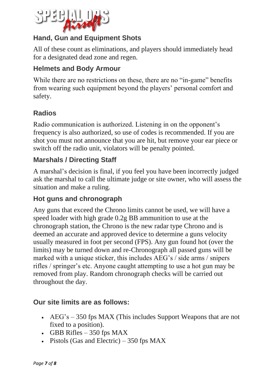

## **Hand, Gun and Equipment Shots**

All of these count as eliminations, and players should immediately head for a designated dead zone and regen.

#### **Helmets and Body Armour**

While there are no restrictions on these, there are no "in-game" benefits from wearing such equipment beyond the players' personal comfort and safety.

## **Radios**

Radio communication is authorized. Listening in on the opponent's frequency is also authorized, so use of codes is recommended. If you are shot you must not announce that you are hit, but remove your ear piece or switch off the radio unit, violators will be penalty pointed.

#### **Marshals / Directing Staff**

A marshal's decision is final, if you feel you have been incorrectly judged ask the marshal to call the ultimate judge or site owner, who will assess the situation and make a ruling.

#### **Hot guns and chronograph**

Any guns that exceed the Chrono limits cannot be used, we will have a speed loader with high grade 0.2g BB ammunition to use at the chronograph station, the Chrono is the new radar type Chrono and is deemed an accurate and approved device to determine a guns velocity usually measured in foot per second (FPS). Any gun found hot (over the limits) may be turned down and re-Chronograph all passed guns will be marked with a unique sticker, this includes AEG's / side arms / snipers rifles / springer's etc. Anyone caught attempting to use a hot gun may be removed from play. Random chronograph checks will be carried out throughout the day.

#### **Our site limits are as follows:**

- AEG's 350 fps MAX (This includes Support Weapons that are not fixed to a position).
- GBB Rifles  $-350$  fps MAX
- Pistols (Gas and Electric) 350 fps MAX